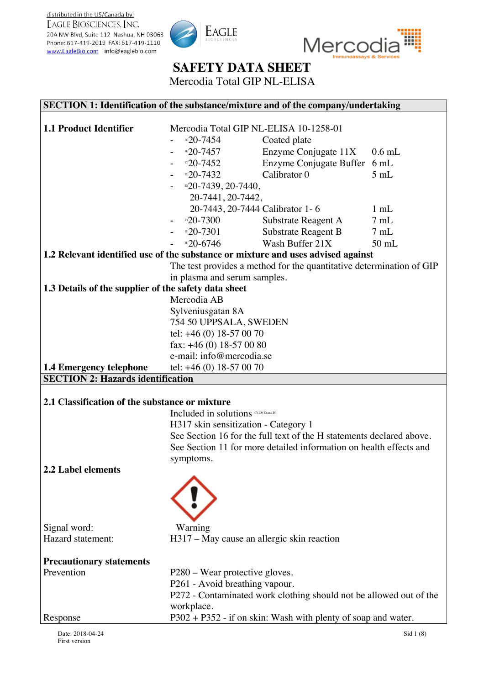



Mercodia Total GIP NL-ELISA

### **SECTION 1: Identification of the substance/mixture and of the company/undertaking**

| <b>1.1 Product Identifier</b>                                                    | Mercodia Total GIP NL-ELISA 10-1258-01     |                                                                      |                |
|----------------------------------------------------------------------------------|--------------------------------------------|----------------------------------------------------------------------|----------------|
|                                                                                  | $^{A5}20-7454$                             | Coated plate                                                         |                |
|                                                                                  | B) 20-7457                                 | Enzyme Conjugate 11X                                                 | $0.6$ mL       |
|                                                                                  | $^{\circ}20-7452$                          | Enzyme Conjugate Buffer 6 mL                                         |                |
|                                                                                  | $D(D-7432)$                                | Calibrator 0                                                         | 5mL            |
|                                                                                  | B <sub>2</sub> 0-7439, 20-7440,            |                                                                      |                |
|                                                                                  | 20-7441, 20-7442,                          |                                                                      |                |
|                                                                                  | 20-7443, 20-7444 Calibrator 1-6            |                                                                      | $1$ mL         |
|                                                                                  | ®20-7300                                   | Substrate Reagent A                                                  | $7 \text{ mL}$ |
|                                                                                  | ി20-7301                                   | Substrate Reagent B                                                  | 7mL            |
|                                                                                  | $m20-6746$                                 | Wash Buffer 21X                                                      | $50$ mL        |
| 1.2 Relevant identified use of the substance or mixture and uses advised against |                                            |                                                                      |                |
|                                                                                  |                                            | The test provides a method for the quantitative determination of GIP |                |
|                                                                                  | in plasma and serum samples.               |                                                                      |                |
| 1.3 Details of the supplier of the safety data sheet                             |                                            |                                                                      |                |
|                                                                                  | Mercodia AB                                |                                                                      |                |
|                                                                                  | Sylveniusgatan 8A                          |                                                                      |                |
|                                                                                  | 754 50 UPPSALA, SWEDEN                     |                                                                      |                |
|                                                                                  | tel: $+46(0)$ 18-57 00 70                  |                                                                      |                |
|                                                                                  | fax: $+46(0)$ 18-57 00 80                  |                                                                      |                |
|                                                                                  | e-mail: info@mercodia.se                   |                                                                      |                |
| <b>1.4 Emergency telephone</b>                                                   | tel: $+46(0)$ 18-57 00 70                  |                                                                      |                |
| <b>SECTION 2: Hazards identification</b>                                         |                                            |                                                                      |                |
|                                                                                  |                                            |                                                                      |                |
| 2.1 Classification of the substance or mixture                                   |                                            |                                                                      |                |
|                                                                                  | Included in solutions C, D) E) and H)      |                                                                      |                |
|                                                                                  | H317 skin sensitization - Category 1       |                                                                      |                |
|                                                                                  |                                            | See Section 16 for the full text of the H statements declared above. |                |
|                                                                                  |                                            | See Section 11 for more detailed information on health effects and   |                |
|                                                                                  | symptoms.                                  |                                                                      |                |
| <b>2.2 Label elements</b>                                                        |                                            |                                                                      |                |
|                                                                                  |                                            |                                                                      |                |
|                                                                                  |                                            |                                                                      |                |
|                                                                                  |                                            |                                                                      |                |
|                                                                                  |                                            |                                                                      |                |
| Signal word:                                                                     | Warning                                    |                                                                      |                |
| Hazard statement:                                                                | H317 – May cause an allergic skin reaction |                                                                      |                |
| <b>Precautionary statements</b>                                                  |                                            |                                                                      |                |
| Prevention                                                                       | P280 – Wear protective gloves.             |                                                                      |                |
|                                                                                  | P261 - Avoid breathing vapour.             |                                                                      |                |
|                                                                                  |                                            | P272 - Contaminated work clothing should not be allowed out of the   |                |
|                                                                                  | workplace.                                 |                                                                      |                |
| Response                                                                         |                                            | P302 + P352 - if on skin: Wash with plenty of soap and water.        |                |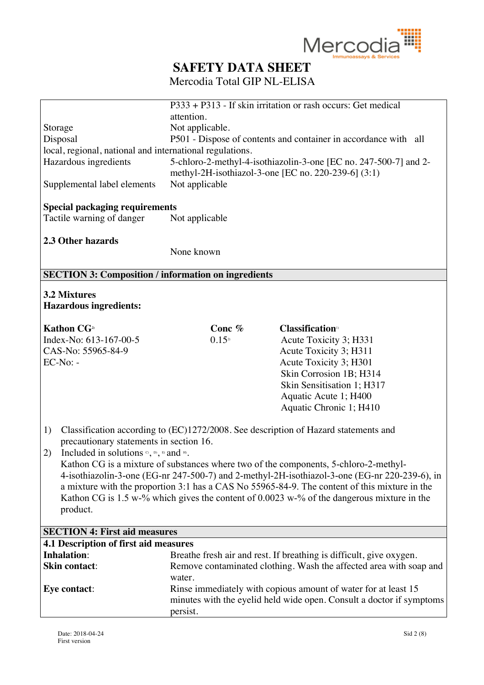

|                                                                                 |                      | $\overline{P}333 + \overline{P}313$ - If skin irritation or rash occurs: Get medical                                      |
|---------------------------------------------------------------------------------|----------------------|---------------------------------------------------------------------------------------------------------------------------|
|                                                                                 |                      |                                                                                                                           |
|                                                                                 | attention.           |                                                                                                                           |
| Storage                                                                         | Not applicable.      |                                                                                                                           |
| Disposal                                                                        |                      | P501 - Dispose of contents and container in accordance with all                                                           |
| local, regional, national and international regulations.                        |                      |                                                                                                                           |
| Hazardous ingredients                                                           |                      | 5-chloro-2-methyl-4-isothiazolin-3-one [EC no. 247-500-7] and 2-<br>methyl-2H-isothiazol-3-one [EC no. 220-239-6] $(3:1)$ |
| Supplemental label elements                                                     | Not applicable       |                                                                                                                           |
| <b>Special packaging requirements</b>                                           |                      |                                                                                                                           |
| Tactile warning of danger                                                       | Not applicable       |                                                                                                                           |
| 2.3 Other hazards                                                               |                      |                                                                                                                           |
|                                                                                 | None known           |                                                                                                                           |
|                                                                                 |                      |                                                                                                                           |
| <b>SECTION 3: Composition / information on ingredients</b>                      |                      |                                                                                                                           |
| 3.2 Mixtures                                                                    |                      |                                                                                                                           |
| <b>Hazardous ingredients:</b>                                                   |                      |                                                                                                                           |
|                                                                                 |                      |                                                                                                                           |
| <b>Kathon CG</b> <sup>2)</sup>                                                  | Conc %               | <b>Classification</b> <sup>10</sup>                                                                                       |
| Index-No: 613-167-00-5                                                          | $0.15$ <sup>2)</sup> | Acute Toxicity 3; H331                                                                                                    |
| CAS-No: 55965-84-9                                                              |                      | Acute Toxicity 3; H311                                                                                                    |
| $EC-No: -$                                                                      |                      | Acute Toxicity 3; H301                                                                                                    |
|                                                                                 |                      | Skin Corrosion 1B; H314                                                                                                   |
|                                                                                 |                      | Skin Sensitisation 1; H317                                                                                                |
|                                                                                 |                      | Aquatic Acute 1; H400                                                                                                     |
|                                                                                 |                      | Aquatic Chronic 1; H410                                                                                                   |
|                                                                                 |                      |                                                                                                                           |
| 1)                                                                              |                      | Classification according to (EC)1272/2008. See description of Hazard statements and                                       |
| precautionary statements in section 16.                                         |                      |                                                                                                                           |
| Included in solutions $\circ$ , $\circ$ , $\circ$ , $\circ$ and $\circ$ .<br>2) |                      |                                                                                                                           |
|                                                                                 |                      | Kathon CG is a mixture of substances where two of the components, 5-chloro-2-methyl-                                      |
|                                                                                 |                      | 4-isothiazolin-3-one (EG-nr 247-500-7) and 2-methyl-2H-isothiazol-3-one (EG-nr 220-239-6), in                             |
|                                                                                 |                      | a mixture with the proportion 3:1 has a CAS No 55965-84-9. The content of this mixture in the                             |
|                                                                                 |                      | Kathon CG is 1.5 w-% which gives the content of 0.0023 w-% of the dangerous mixture in the                                |
| product.                                                                        |                      |                                                                                                                           |
|                                                                                 |                      |                                                                                                                           |
| <b>SECTION 4: First aid measures</b>                                            |                      |                                                                                                                           |
| 4.1 Description of first aid measures<br><b>Inhalation:</b>                     |                      |                                                                                                                           |
|                                                                                 |                      | Breathe fresh air and rest. If breathing is difficult, give oxygen.                                                       |
| <b>Skin contact:</b>                                                            | water.               | Remove contaminated clothing. Wash the affected area with soap and                                                        |
| Eye contact:                                                                    |                      | Rinse immediately with copious amount of water for at least 15                                                            |
|                                                                                 |                      | minutes with the eyelid held wide open. Consult a doctor if symptoms                                                      |
|                                                                                 | persist.             |                                                                                                                           |
|                                                                                 |                      |                                                                                                                           |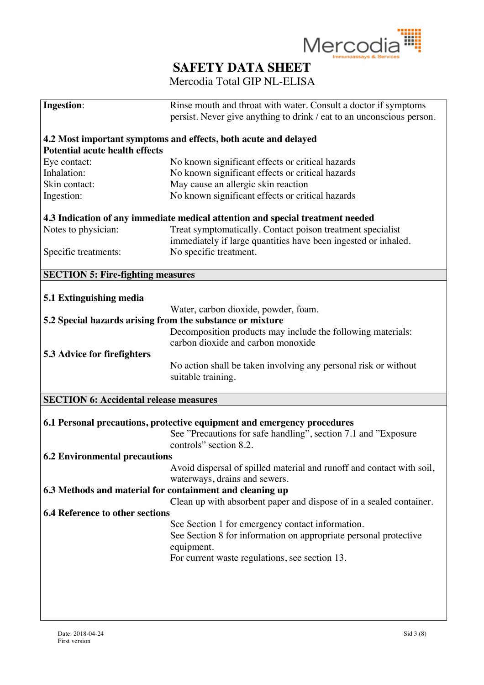

| <b>Ingestion:</b>                                         | Rinse mouth and throat with water. Consult a doctor if symptoms                |
|-----------------------------------------------------------|--------------------------------------------------------------------------------|
|                                                           | persist. Never give anything to drink / eat to an unconscious person.          |
|                                                           |                                                                                |
|                                                           | 4.2 Most important symptoms and effects, both acute and delayed                |
| <b>Potential acute health effects</b>                     |                                                                                |
| Eye contact:                                              | No known significant effects or critical hazards                               |
| Inhalation:                                               | No known significant effects or critical hazards                               |
| Skin contact:                                             | May cause an allergic skin reaction                                            |
| Ingestion:                                                | No known significant effects or critical hazards                               |
|                                                           | 4.3 Indication of any immediate medical attention and special treatment needed |
| Notes to physician:                                       | Treat symptomatically. Contact poison treatment specialist                     |
|                                                           | immediately if large quantities have been ingested or inhaled.                 |
|                                                           |                                                                                |
| Specific treatments:                                      | No specific treatment.                                                         |
| <b>SECTION 5: Fire-fighting measures</b>                  |                                                                                |
|                                                           |                                                                                |
| 5.1 Extinguishing media                                   |                                                                                |
|                                                           | Water, carbon dioxide, powder, foam.                                           |
| 5.2 Special hazards arising from the substance or mixture |                                                                                |
|                                                           | Decomposition products may include the following materials:                    |
|                                                           | carbon dioxide and carbon monoxide                                             |
| 5.3 Advice for firefighters                               |                                                                                |
|                                                           | No action shall be taken involving any personal risk or without                |
|                                                           | suitable training.                                                             |
|                                                           |                                                                                |
| <b>SECTION 6: Accidental release measures</b>             |                                                                                |
|                                                           |                                                                                |
|                                                           | 6.1 Personal precautions, protective equipment and emergency procedures        |
|                                                           | See "Precautions for safe handling", section 7.1 and "Exposure                 |
|                                                           | controls" section 8.2.                                                         |
| <b>6.2 Environmental precautions</b>                      |                                                                                |
|                                                           | Avoid dispersal of spilled material and runoff and contact with soil,          |
|                                                           | waterways, drains and sewers.                                                  |
| 6.3 Methods and material for containment and cleaning up  |                                                                                |
|                                                           | Clean up with absorbent paper and dispose of in a sealed container.            |
| <b>6.4 Reference to other sections</b>                    |                                                                                |
|                                                           | See Section 1 for emergency contact information.                               |
|                                                           | See Section 8 for information on appropriate personal protective               |
|                                                           | equipment.                                                                     |
|                                                           |                                                                                |
|                                                           | For current waste regulations, see section 13.                                 |
|                                                           |                                                                                |
|                                                           |                                                                                |
|                                                           |                                                                                |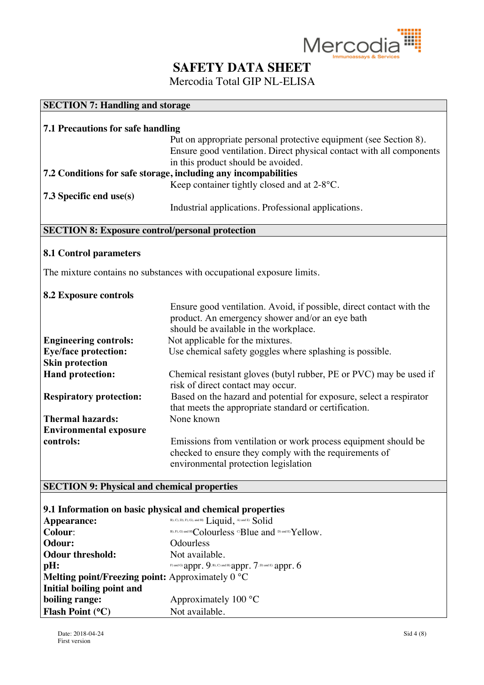

Mercodia Total GIP NL-ELISA

### **SECTION 7: Handling and storage**

| 7.1 Precautions for safe handling |                                                                      |  |
|-----------------------------------|----------------------------------------------------------------------|--|
|                                   | Put on appropriate personal protective equipment (see Section 8).    |  |
|                                   | Ensure good ventilation. Direct physical contact with all components |  |
|                                   | in this product should be avoided.                                   |  |
|                                   | 7.2 Conditions for safe storage, including any incompabilities       |  |
|                                   | Keep container tightly closed and at 2-8°C.                          |  |
| $\sqrt{7.3}$ Specific end use(s)  |                                                                      |  |
|                                   | Industrial applications. Professional applications.                  |  |

### **SECTION 8: Exposure control/personal protection**

#### **8.1 Control parameters**

The mixture contains no substances with occupational exposure limits.

#### **8.2 Exposure controls**

|                                | Ensure good ventilation. Avoid, if possible, direct contact with the                                                                                             |
|--------------------------------|------------------------------------------------------------------------------------------------------------------------------------------------------------------|
|                                | product. An emergency shower and/or an eye bath                                                                                                                  |
|                                | should be available in the workplace.                                                                                                                            |
| <b>Engineering controls:</b>   | Not applicable for the mixtures.                                                                                                                                 |
| <b>Eye/face protection:</b>    | Use chemical safety goggles where splashing is possible.                                                                                                         |
| <b>Skin protection</b>         |                                                                                                                                                                  |
| <b>Hand protection:</b>        | Chemical resistant gloves (butyl rubber, PE or PVC) may be used if<br>risk of direct contact may occur.                                                          |
| <b>Respiratory protection:</b> | Based on the hazard and potential for exposure, select a respirator<br>that meets the appropriate standard or certification.                                     |
| <b>Thermal hazards:</b>        | None known                                                                                                                                                       |
| <b>Environmental exposure</b>  |                                                                                                                                                                  |
| controls:                      | Emissions from ventilation or work process equipment should be<br>checked to ensure they comply with the requirements of<br>environmental protection legislation |

#### **SECTION 9: Physical and chemical properties**

#### **9.1 Information on basic physical and chemical properties**

| Appearance:                                      | B), C), D), F), G), and H) Liquid, A) and E) Solid             |
|--------------------------------------------------|----------------------------------------------------------------|
| <b>Colour:</b>                                   | B), F), G) and H)Colourless CBlue and D) and E) Yellow.        |
| Odour:                                           | <b>Odourless</b>                                               |
| <b>Odour threshold:</b>                          | Not available.                                                 |
| $\mathbf{p}$ H:                                  | F) and G) appr. 9. B), C) and H) appr. $7$ , D) and E) appr. 6 |
| Melting point/Freezing point: Approximately 0 °C |                                                                |
| Initial boiling point and                        |                                                                |
| boiling range:                                   | Approximately $100 °C$                                         |
| Flash Point $(^{\circ}C)$                        | Not available.                                                 |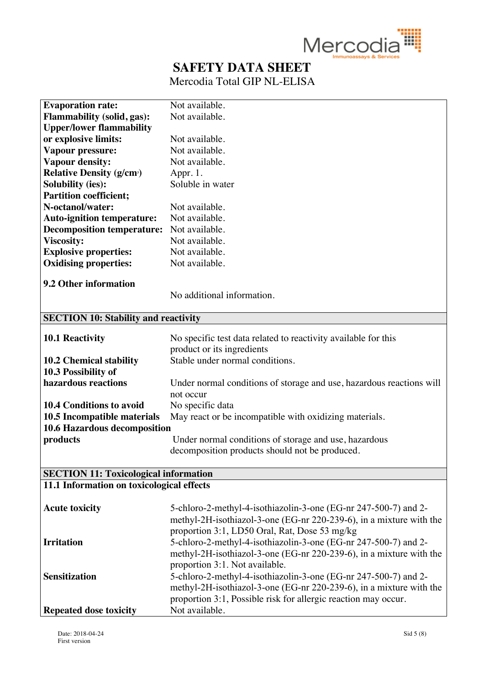

| <b>Evaporation rate:</b>                     | Not available.                                                       |
|----------------------------------------------|----------------------------------------------------------------------|
| <b>Flammability (solid, gas):</b>            | Not available.                                                       |
| <b>Upper/lower flammability</b>              |                                                                      |
| or explosive limits:                         | Not available.                                                       |
| Vapour pressure:                             | Not available.                                                       |
| Vapour density:                              | Not available.                                                       |
| <b>Relative Density (g/cm<sup>3</sup>)</b>   | Appr. 1.                                                             |
| <b>Solubility (ies):</b>                     | Soluble in water                                                     |
| <b>Partition coefficient;</b>                |                                                                      |
| N-octanol/water:                             | Not available.                                                       |
| <b>Auto-ignition temperature:</b>            | Not available.                                                       |
| <b>Decomposition temperature:</b>            | Not available.                                                       |
| <b>Viscosity:</b>                            | Not available.                                                       |
| <b>Explosive properties:</b>                 | Not available.                                                       |
| <b>Oxidising properties:</b>                 | Not available.                                                       |
|                                              |                                                                      |
| <b>9.2 Other information</b>                 |                                                                      |
|                                              | No additional information.                                           |
|                                              |                                                                      |
| <b>SECTION 10: Stability and reactivity</b>  |                                                                      |
| <b>10.1 Reactivity</b>                       | No specific test data related to reactivity available for this       |
|                                              | product or its ingredients                                           |
| <b>10.2 Chemical stability</b>               | Stable under normal conditions.                                      |
| 10.3 Possibility of                          |                                                                      |
| hazardous reactions                          | Under normal conditions of storage and use, hazardous reactions will |
|                                              | not occur                                                            |
| <b>10.4 Conditions to avoid</b>              | No specific data                                                     |
| 10.5 Incompatible materials                  | May react or be incompatible with oxidizing materials.               |
| 10.6 Hazardous decomposition                 |                                                                      |
| products                                     | Under normal conditions of storage and use, hazardous                |
|                                              | decomposition products should not be produced.                       |
|                                              |                                                                      |
| <b>SECTION 11: Toxicological information</b> |                                                                      |
| 11.1 Information on toxicological effects    |                                                                      |
|                                              |                                                                      |
| <b>Acute toxicity</b>                        | 5-chloro-2-methyl-4-isothiazolin-3-one (EG-nr 247-500-7) and 2-      |
|                                              | methyl-2H-isothiazol-3-one (EG-nr 220-239-6), in a mixture with the  |
|                                              | proportion 3:1, LD50 Oral, Rat, Dose 53 mg/kg                        |
| <b>Irritation</b>                            | 5-chloro-2-methyl-4-isothiazolin-3-one (EG-nr 247-500-7) and 2-      |
|                                              | methyl-2H-isothiazol-3-one (EG-nr 220-239-6), in a mixture with the  |
|                                              | proportion 3:1. Not available.                                       |
| <b>Sensitization</b>                         | 5-chloro-2-methyl-4-isothiazolin-3-one (EG-nr 247-500-7) and 2-      |
|                                              | methyl-2H-isothiazol-3-one (EG-nr 220-239-6), in a mixture with the  |
|                                              | proportion 3:1, Possible risk for allergic reaction may occur.       |
| <b>Repeated dose toxicity</b>                | Not available.                                                       |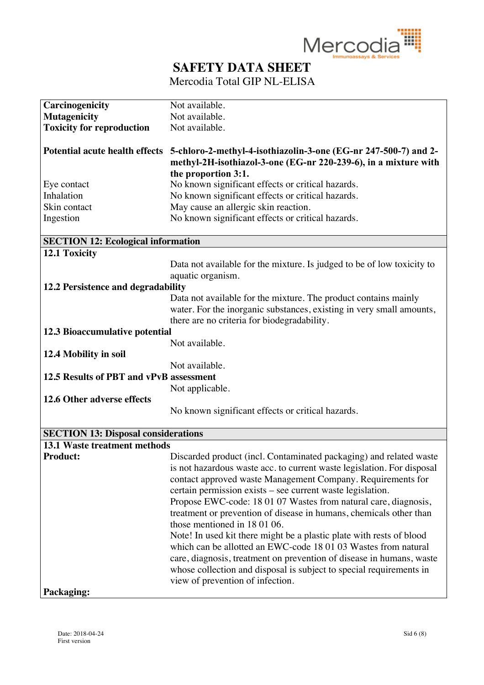

| Carcinogenicity                            | Not available.                                                                                                                                                                                                                                                                                                                                                                                                                                                                                                                                                                                                                                                                                                                                                                |
|--------------------------------------------|-------------------------------------------------------------------------------------------------------------------------------------------------------------------------------------------------------------------------------------------------------------------------------------------------------------------------------------------------------------------------------------------------------------------------------------------------------------------------------------------------------------------------------------------------------------------------------------------------------------------------------------------------------------------------------------------------------------------------------------------------------------------------------|
| <b>Mutagenicity</b>                        | Not available.                                                                                                                                                                                                                                                                                                                                                                                                                                                                                                                                                                                                                                                                                                                                                                |
| <b>Toxicity for reproduction</b>           | Not available.                                                                                                                                                                                                                                                                                                                                                                                                                                                                                                                                                                                                                                                                                                                                                                |
|                                            | Potential acute health effects 5-chloro-2-methyl-4-isothiazolin-3-one (EG-nr 247-500-7) and 2-<br>methyl-2H-isothiazol-3-one (EG-nr 220-239-6), in a mixture with                                                                                                                                                                                                                                                                                                                                                                                                                                                                                                                                                                                                             |
|                                            | the proportion 3:1.                                                                                                                                                                                                                                                                                                                                                                                                                                                                                                                                                                                                                                                                                                                                                           |
| Eye contact                                | No known significant effects or critical hazards.                                                                                                                                                                                                                                                                                                                                                                                                                                                                                                                                                                                                                                                                                                                             |
| Inhalation                                 | No known significant effects or critical hazards.                                                                                                                                                                                                                                                                                                                                                                                                                                                                                                                                                                                                                                                                                                                             |
| Skin contact                               | May cause an allergic skin reaction.                                                                                                                                                                                                                                                                                                                                                                                                                                                                                                                                                                                                                                                                                                                                          |
| Ingestion                                  | No known significant effects or critical hazards.                                                                                                                                                                                                                                                                                                                                                                                                                                                                                                                                                                                                                                                                                                                             |
| <b>SECTION 12: Ecological information</b>  |                                                                                                                                                                                                                                                                                                                                                                                                                                                                                                                                                                                                                                                                                                                                                                               |
| 12.1 Toxicity                              |                                                                                                                                                                                                                                                                                                                                                                                                                                                                                                                                                                                                                                                                                                                                                                               |
|                                            | Data not available for the mixture. Is judged to be of low toxicity to<br>aquatic organism.                                                                                                                                                                                                                                                                                                                                                                                                                                                                                                                                                                                                                                                                                   |
| 12.2 Persistence and degradability         |                                                                                                                                                                                                                                                                                                                                                                                                                                                                                                                                                                                                                                                                                                                                                                               |
|                                            | Data not available for the mixture. The product contains mainly<br>water. For the inorganic substances, existing in very small amounts,<br>there are no criteria for biodegradability.                                                                                                                                                                                                                                                                                                                                                                                                                                                                                                                                                                                        |
| 12.3 Bioaccumulative potential             |                                                                                                                                                                                                                                                                                                                                                                                                                                                                                                                                                                                                                                                                                                                                                                               |
|                                            | Not available.                                                                                                                                                                                                                                                                                                                                                                                                                                                                                                                                                                                                                                                                                                                                                                |
|                                            |                                                                                                                                                                                                                                                                                                                                                                                                                                                                                                                                                                                                                                                                                                                                                                               |
| 12.4 Mobility in soil                      | Not available.                                                                                                                                                                                                                                                                                                                                                                                                                                                                                                                                                                                                                                                                                                                                                                |
| 12.5 Results of PBT and vPvB assessment    |                                                                                                                                                                                                                                                                                                                                                                                                                                                                                                                                                                                                                                                                                                                                                                               |
|                                            | Not applicable.                                                                                                                                                                                                                                                                                                                                                                                                                                                                                                                                                                                                                                                                                                                                                               |
| 12.6 Other adverse effects                 |                                                                                                                                                                                                                                                                                                                                                                                                                                                                                                                                                                                                                                                                                                                                                                               |
|                                            | No known significant effects or critical hazards.                                                                                                                                                                                                                                                                                                                                                                                                                                                                                                                                                                                                                                                                                                                             |
|                                            |                                                                                                                                                                                                                                                                                                                                                                                                                                                                                                                                                                                                                                                                                                                                                                               |
| <b>SECTION 13: Disposal considerations</b> |                                                                                                                                                                                                                                                                                                                                                                                                                                                                                                                                                                                                                                                                                                                                                                               |
| <b>13.1 Waste treatment methods</b>        |                                                                                                                                                                                                                                                                                                                                                                                                                                                                                                                                                                                                                                                                                                                                                                               |
| <b>Product:</b>                            | Discarded product (incl. Contaminated packaging) and related waste<br>is not hazardous waste acc. to current waste legislation. For disposal<br>contact approved waste Management Company. Requirements for<br>certain permission exists – see current waste legislation.<br>Propose EWC-code: 18 01 07 Wastes from natural care, diagnosis,<br>treatment or prevention of disease in humans, chemicals other than<br>those mentioned in 180106.<br>Note! In used kit there might be a plastic plate with rests of blood<br>which can be allotted an EWC-code 18 01 03 Wastes from natural<br>care, diagnosis, treatment on prevention of disease in humans, waste<br>whose collection and disposal is subject to special requirements in<br>view of prevention of infection. |
| Packaging:                                 |                                                                                                                                                                                                                                                                                                                                                                                                                                                                                                                                                                                                                                                                                                                                                                               |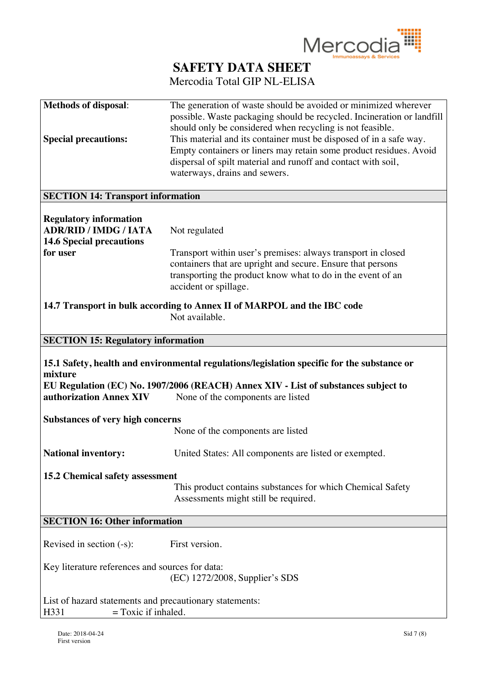

| <b>Methods of disposal:</b><br><b>Special precautions:</b>                                                   | The generation of waste should be avoided or minimized wherever<br>possible. Waste packaging should be recycled. Incineration or landfill<br>should only be considered when recycling is not feasible.<br>This material and its container must be disposed of in a safe way.<br>Empty containers or liners may retain some product residues. Avoid<br>dispersal of spilt material and runoff and contact with soil,<br>waterways, drains and sewers. |
|--------------------------------------------------------------------------------------------------------------|------------------------------------------------------------------------------------------------------------------------------------------------------------------------------------------------------------------------------------------------------------------------------------------------------------------------------------------------------------------------------------------------------------------------------------------------------|
| <b>SECTION 14: Transport information</b>                                                                     |                                                                                                                                                                                                                                                                                                                                                                                                                                                      |
| <b>Regulatory information</b><br><b>ADR/RID / IMDG / IATA</b><br><b>14.6 Special precautions</b><br>for user | Not regulated<br>Transport within user's premises: always transport in closed<br>containers that are upright and secure. Ensure that persons<br>transporting the product know what to do in the event of an<br>accident or spillage.                                                                                                                                                                                                                 |
|                                                                                                              | 14.7 Transport in bulk according to Annex II of MARPOL and the IBC code<br>Not available.                                                                                                                                                                                                                                                                                                                                                            |
| <b>SECTION 15: Regulatory information</b>                                                                    |                                                                                                                                                                                                                                                                                                                                                                                                                                                      |
| mixture<br>authorization Annex XIV                                                                           | 15.1 Safety, health and environmental regulations/legislation specific for the substance or<br>EU Regulation (EC) No. 1907/2006 (REACH) Annex XIV - List of substances subject to<br>None of the components are listed                                                                                                                                                                                                                               |
| <b>Substances of very high concerns</b>                                                                      | None of the components are listed                                                                                                                                                                                                                                                                                                                                                                                                                    |
| <b>National inventory:</b>                                                                                   | United States: All components are listed or exempted.                                                                                                                                                                                                                                                                                                                                                                                                |
| 15.2 Chemical safety assessment                                                                              | This product contains substances for which Chemical Safety<br>Assessments might still be required.                                                                                                                                                                                                                                                                                                                                                   |
| <b>SECTION 16: Other information</b>                                                                         |                                                                                                                                                                                                                                                                                                                                                                                                                                                      |
| Revised in section $(-s)$ :<br>Key literature references and sources for data:                               | First version.                                                                                                                                                                                                                                                                                                                                                                                                                                       |
|                                                                                                              | (EC) 1272/2008, Supplier's SDS                                                                                                                                                                                                                                                                                                                                                                                                                       |
| List of hazard statements and precautionary statements:<br>$=$ Toxic if inhaled.<br>H331                     |                                                                                                                                                                                                                                                                                                                                                                                                                                                      |